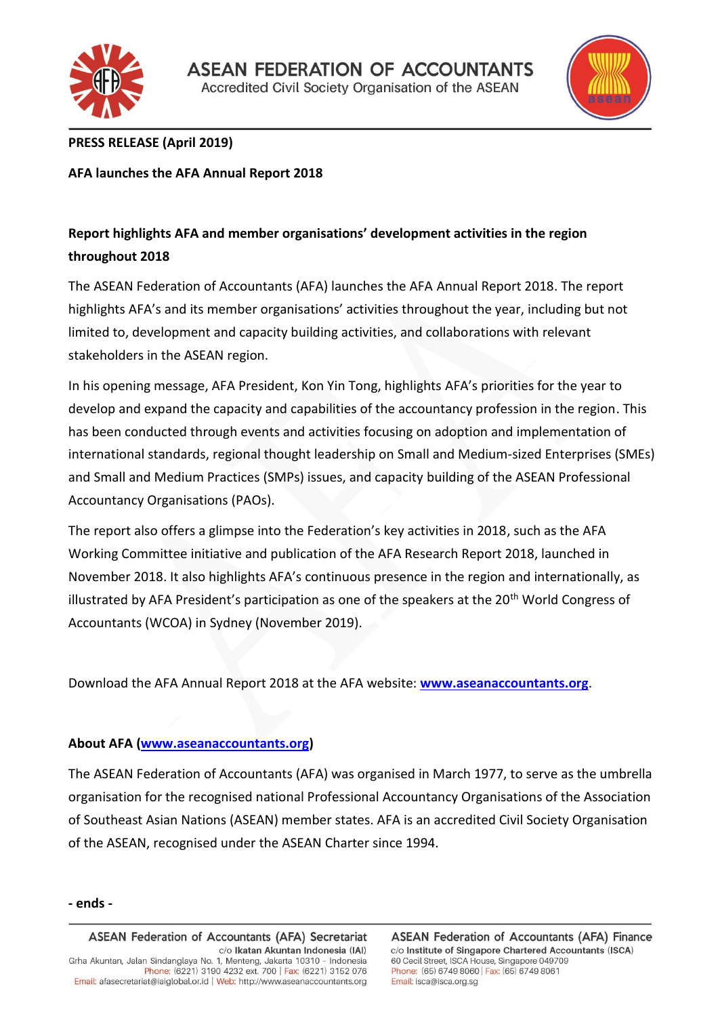



## **PRESS RELEASE (April 2019)**

**AFA launches the AFA Annual Report 2018**

# **Report highlights AFA and member organisations' development activities in the region throughout 2018**

The ASEAN Federation of Accountants (AFA) launches the AFA Annual Report 2018. The report highlights AFA's and its member organisations' activities throughout the year, including but not limited to, development and capacity building activities, and collaborations with relevant stakeholders in the ASEAN region.

In his opening message, AFA President, Kon Yin Tong, highlights AFA's priorities for the year to develop and expand the capacity and capabilities of the accountancy profession in the region. This has been conducted through events and activities focusing on adoption and implementation of international standards, regional thought leadership on Small and Medium-sized Enterprises (SMEs) and Small and Medium Practices (SMPs) issues, and capacity building of the ASEAN Professional Accountancy Organisations (PAOs).

The report also offers a glimpse into the Federation's key activities in 2018, such as the AFA Working Committee initiative and publication of the AFA Research Report 2018, launched in November 2018. It also highlights AFA's continuous presence in the region and internationally, as illustrated by AFA President's participation as one of the speakers at the 20<sup>th</sup> World Congress of Accountants (WCOA) in Sydney (November 2019).

Download the AFA Annual Report 2018 at the AFA website: **[www.aseanaccountants.org](http://www.aseanaccountants.org/)**.

### **About AFA [\(www.aseanaccountants.org\)](http://www.aseanaccountants.org/)**

The ASEAN Federation of Accountants (AFA) was organised in March 1977, to serve as the umbrella organisation for the recognised national Professional Accountancy Organisations of the Association of Southeast Asian Nations (ASEAN) member states. AFA is an accredited Civil Society Organisation of the ASEAN, recognised under the ASEAN Charter since 1994.

#### **- ends -**